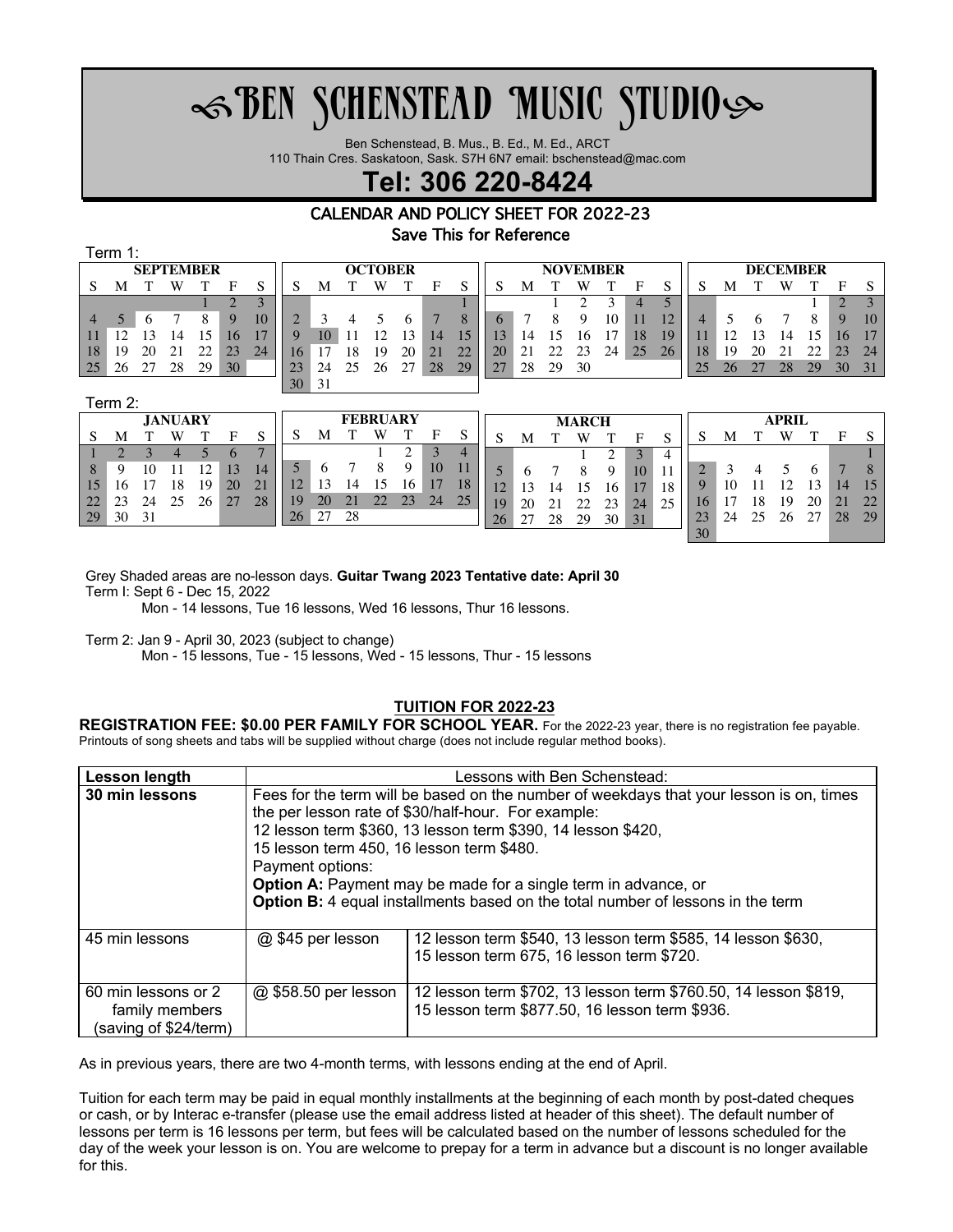# $\mathcal{\mathscr{F}}$ BEN SCHENSTEAD MUSIC STUDIO $\mathcal{\mathscr{F}}$

Ben Schenstead, B. Mus., B. Ed., M. Ed., ARCT

110 Thain Cres. Saskatoon, Sask. S7H 6N7 email: bschenstead@mac.com

# **Tel: 306 220-8424**

# CALENDAR AND POLICY SHEET FOR 2022-23 Save This for Reference

Term 1:

| <b>SEPTEMBER</b> |    |    |    |    |    |    |        | <b>OCTOBER</b> |    |    |    |    |                                |    | <b>NOVEMBER</b> |    |    |    |                          |                |    | <b>DECEMBER</b> |               |    |    |    |    |  |
|------------------|----|----|----|----|----|----|--------|----------------|----|----|----|----|--------------------------------|----|-----------------|----|----|----|--------------------------|----------------|----|-----------------|---------------|----|----|----|----|--|
| S                | M  |    |    |    | Е  |    |        | М              |    |    |    | F  |                                |    | M               |    |    |    | Е                        |                |    | M               |               | W  |    | F  |    |  |
|                  |    |    |    |    |    |    |        |                |    |    |    |    |                                |    |                 |    |    |    | $\overline{\mathcal{L}}$ |                |    |                 |               |    |    | റ  |    |  |
| $\Delta$         |    |    |    |    | 9  | 10 | $\cap$ |                |    |    |    |    |                                |    |                 |    | Q  | 10 |                          | $\overline{1}$ | 4  |                 |               |    |    | 9  | 10 |  |
| 11               |    |    |    |    |    |    |        | 10             |    |    |    | 14 |                                |    | 4               |    | In |    | 18                       |                |    |                 | $\mathcal{R}$ |    | ۱۲ | 16 | 17 |  |
| 18               | 19 | 20 |    |    | 23 | 24 | 16     |                | 8  | 19 | 20 | 21 | າາ<br>$\overline{\phantom{a}}$ | 20 |                 |    | 23 | 24 | 25                       | 26             | 18 | 19              | 20            | 21 | າາ | 23 | 24 |  |
| 25               | 26 |    | 28 | 29 | 30 |    | 23     | 24             | 25 | 26 |    | 28 | 29                             |    | 28              | 29 | 30 |    |                          |                | 25 | 26              | つつ            | 28 | 29 | 30 | 31 |  |
|                  |    |    |    |    |    |    | 30     | 31             |    |    |    |    |                                |    |                 |    |    |    |                          |                |    |                 |               |    |    |    |    |  |

Term 2:

| <b>JANUARY</b> |    |    |    |    |    |                       |    | <b>FEBRUARY</b> |                |    |    |    |    |    | <b>MARCH</b> |    |    |    |    |    | <b>APRIL</b> |    |    |    |    |    |    |
|----------------|----|----|----|----|----|-----------------------|----|-----------------|----------------|----|----|----|----|----|--------------|----|----|----|----|----|--------------|----|----|----|----|----|----|
| S              | M  |    | W  |    |    |                       |    | M               |                | W  |    | F  |    |    | M            |    |    |    | н  |    |              | M  |    | W  |    |    |    |
|                |    |    |    |    |    |                       |    |                 |                |    |    |    | 4  |    |              |    |    |    | 3  | 4  |              |    |    |    |    |    |    |
| 8              |    |    |    |    |    |                       |    |                 |                |    | Q  | 10 |    |    |              |    |    |    | 10 |    |              |    |    |    |    |    |    |
| 15             |    |    | 18 | 19 | 20 | $\gamma$ <sup>1</sup> |    | 15              | $\overline{4}$ |    |    |    | 18 | 12 |              |    |    |    |    | 18 |              | 10 |    |    |    |    |    |
| 22             |    | 24 |    | 26 | 27 | 28                    | 19 | 20              | 21             | 22 | 23 | 24 | 25 | 19 | 20           |    |    |    | 24 |    | $10^{-}$     |    | 18 | 19 | 20 | 21 | 22 |
| 29             | 30 | 31 |    |    |    |                       | 26 | 27              | 28             |    |    |    |    | 26 | 27           | 28 | 29 | 30 | 31 |    | 23           | 24 |    | 26 | 27 | 28 | 29 |
|                |    |    |    |    |    |                       |    |                 |                |    |    |    |    |    |              |    |    |    |    |    | 30           |    |    |    |    |    |    |

Grey Shaded areas are no-lesson days. **Guitar Twang 2023 Tentative date: April 30**

Term I: Sept 6 - Dec 15, 2022

Mon - 14 lessons, Tue 16 lessons, Wed 16 lessons, Thur 16 lessons.

Term 2: Jan 9 - April 30, 2023 (subject to change)

Mon - 15 lessons, Tue - 15 lessons, Wed - 15 lessons, Thur - 15 lessons

## **TUITION FOR 2022-23**

**REGISTRATION FEE: \$0.00 PER FAMILY FOR SCHOOL YEAR.** For the 2022-23 year, there is no registration fee payable. Printouts of song sheets and tabs will be supplied without charge (does not include regular method books).

| Lesson length                                                  | Lessons with Ben Schenstead:                                                                                                                   |                                                                                                                   |  |  |  |  |  |  |  |  |
|----------------------------------------------------------------|------------------------------------------------------------------------------------------------------------------------------------------------|-------------------------------------------------------------------------------------------------------------------|--|--|--|--|--|--|--|--|
| 30 min lessons                                                 | Fees for the term will be based on the number of weekdays that your lesson is on, times<br>the per lesson rate of \$30/half-hour. For example: |                                                                                                                   |  |  |  |  |  |  |  |  |
|                                                                | 12 lesson term \$360, 13 lesson term \$390, 14 lesson \$420,<br>15 lesson term 450, 16 lesson term \$480.<br>Payment options:                  |                                                                                                                   |  |  |  |  |  |  |  |  |
|                                                                | <b>Option A:</b> Payment may be made for a single term in advance, or                                                                          |                                                                                                                   |  |  |  |  |  |  |  |  |
|                                                                | Option B: 4 equal installments based on the total number of lessons in the term                                                                |                                                                                                                   |  |  |  |  |  |  |  |  |
| 45 min lessons                                                 | @ \$45 per lesson                                                                                                                              | 12 lesson term \$540, 13 lesson term \$585, 14 lesson \$630,<br>15 lesson term 675, 16 lesson term \$720.         |  |  |  |  |  |  |  |  |
| 60 min lessons or 2<br>family members<br>(saving of \$24/term) | @ \$58.50 per lesson                                                                                                                           | 12 lesson term \$702, 13 lesson term \$760.50, 14 lesson \$819,<br>15 lesson term \$877.50, 16 lesson term \$936. |  |  |  |  |  |  |  |  |

As in previous years, there are two 4-month terms, with lessons ending at the end of April.

Tuition for each term may be paid in equal monthly installments at the beginning of each month by post-dated cheques or cash, or by Interac e-transfer (please use the email address listed at header of this sheet). The default number of lessons per term is 16 lessons per term, but fees will be calculated based on the number of lessons scheduled for the day of the week your lesson is on. You are welcome to prepay for a term in advance but a discount is no longer available for this.